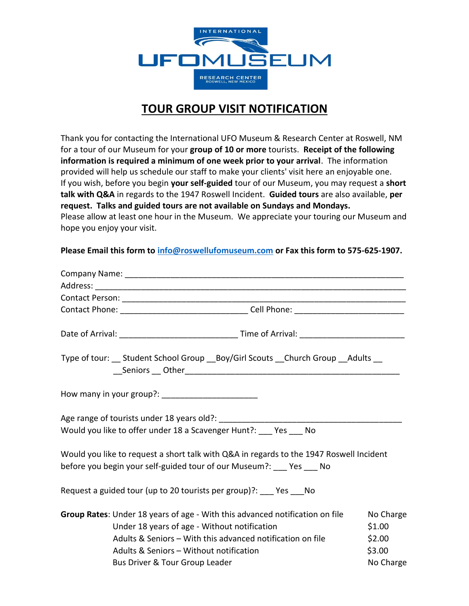

## **TOUR GROUP VISIT NOTIFICATION**

Thank you for contacting the International UFO Museum & Research Center at Roswell, NM for a tour of our Museum for your **group of 10 or more** tourists. **Receipt of the following information is required a minimum of one week prior to your arrival**. The information provided will help us schedule our staff to make your clients' visit here an enjoyable one. If you wish, before you begin **your self-guided** tour of our Museum, you may request a **short talk with Q&A** in regards to the 1947 Roswell Incident. **Guided tours** are also available, **per request. Talks and guided tours are not available on Sundays and Mondays.**  Please allow at least one hour in the Museum. We appreciate your touring our Museum and hope you enjoy your visit.

**Please Email this form to [info@roswellufomuseum.com](mailto:info@roswellufomuseum.com) or Fax this form to 575-625-1907.**

| Contact Phone: __________________________________Cell Phone: ____________________                                                                                                                                                     |                                         |
|---------------------------------------------------------------------------------------------------------------------------------------------------------------------------------------------------------------------------------------|-----------------------------------------|
|                                                                                                                                                                                                                                       |                                         |
| Type of tour: __ Student School Group __Boy/Girl Scouts __ Church Group __Adults __                                                                                                                                                   |                                         |
|                                                                                                                                                                                                                                       |                                         |
| Would you like to offer under 18 a Scavenger Hunt?: ___ Yes ___ No                                                                                                                                                                    |                                         |
| Would you like to request a short talk with Q&A in regards to the 1947 Roswell Incident<br>before you begin your self-guided tour of our Museum?: ___ Yes ___ No                                                                      |                                         |
| Request a guided tour (up to 20 tourists per group)?: ___ Yes ___ No                                                                                                                                                                  |                                         |
| Group Rates: Under 18 years of age - With this advanced notification on file<br>Under 18 years of age - Without notification<br>Adults & Seniors - With this advanced notification on file<br>Adults & Seniors - Without notification | No Charge<br>\$1.00<br>\$2.00<br>\$3.00 |
| Bus Driver & Tour Group Leader                                                                                                                                                                                                        | No Charge                               |